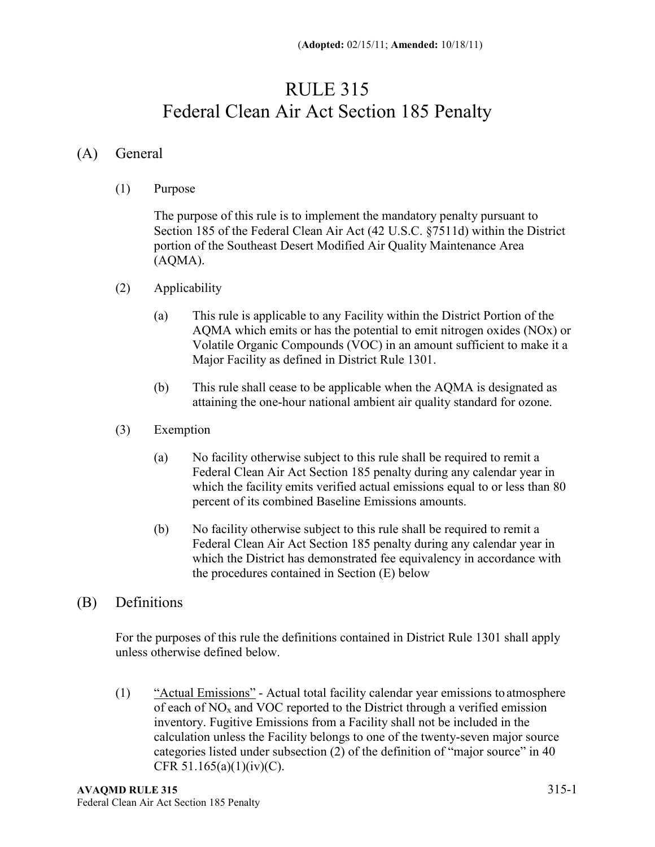## RULE 315 Federal Clean Air Act Section 185 Penalty

## (A) General

(1) Purpose

The purpose of this rule is to implement the mandatory penalty pursuant to Section 185 of the Federal Clean Air Act (42 U.S.C. §7511d) within the District portion of the Southeast Desert Modified Air Quality Maintenance Area (AQMA).

- (2) Applicability
	- (a) This rule is applicable to any Facility within the District Portion of the AQMA which emits or has the potential to emit nitrogen oxides (NOx) or Volatile Organic Compounds (VOC) in an amount sufficient to make it a Major Facility as defined in District Rule 1301.
	- (b) This rule shall cease to be applicable when the AQMA is designated as attaining the one-hour national ambient air quality standard for ozone.
- (3) Exemption
	- (a) No facility otherwise subject to this rule shall be required to remit a Federal Clean Air Act Section 185 penalty during any calendar year in which the facility emits verified actual emissions equal to or less than 80 percent of its combined Baseline Emissions amounts.
	- (b) No facility otherwise subject to this rule shall be required to remit a Federal Clean Air Act Section 185 penalty during any calendar year in which the District has demonstrated fee equivalency in accordance with the procedures contained in Section (E) below
- (B) Definitions

For the purposes of this rule the definitions contained in District Rule 1301 shall apply unless otherwise defined below.

(1) "Actual Emissions" - Actual total facility calendar year emissions toatmosphere of each of  $NO<sub>x</sub>$  and VOC reported to the District through a verified emission inventory. Fugitive Emissions from a Facility shall not be included in the calculation unless the Facility belongs to one of the twenty-seven major source categories listed under subsection (2) of the definition of "major source" in 40 CFR  $51.165(a)(1)(iv)(C)$ .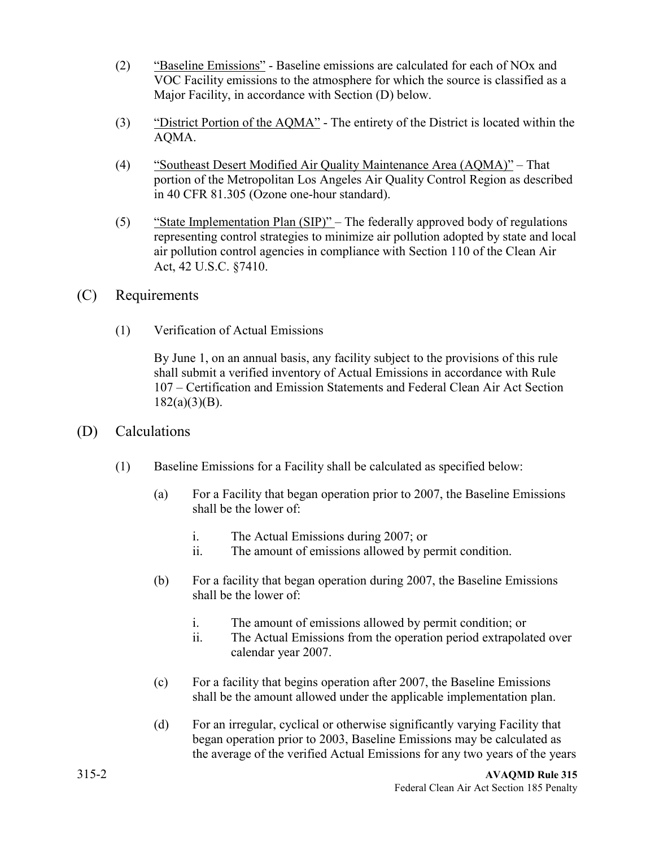- (2) "Baseline Emissions" Baseline emissions are calculated for each of NOx and VOC Facility emissions to the atmosphere for which the source is classified as a Major Facility, in accordance with Section (D) below.
- (3) "District Portion of the AQMA" The entirety of the District is located within the AQMA.
- (4) "Southeast Desert Modified Air Quality Maintenance Area (AQMA)" That portion of the Metropolitan Los Angeles Air Quality Control Region as described in 40 CFR 81.305 (Ozone one-hour standard).
- (5) "State Implementation Plan  $(SIP)$ " The federally approved body of regulations representing control strategies to minimize air pollution adopted by state and local air pollution control agencies in compliance with Section 110 of the Clean Air Act, 42 U.S.C. §7410.
- (C) Requirements
	- (1) Verification of Actual Emissions

By June 1, on an annual basis, any facility subject to the provisions of this rule shall submit a verified inventory of Actual Emissions in accordance with Rule 107 – Certification and Emission Statements and Federal Clean Air Act Section  $182(a)(3)(B)$ .

- (D) Calculations
	- (1) Baseline Emissions for a Facility shall be calculated as specified below:
		- (a) For a Facility that began operation prior to 2007, the Baseline Emissions shall be the lower of:
			- i. The Actual Emissions during 2007; or
			- ii. The amount of emissions allowed by permit condition.
		- (b) For a facility that began operation during 2007, the Baseline Emissions shall be the lower of:
			- i. The amount of emissions allowed by permit condition; or
			- ii. The Actual Emissions from the operation period extrapolated over calendar year 2007.
		- (c) For a facility that begins operation after 2007, the Baseline Emissions shall be the amount allowed under the applicable implementation plan.
		- (d) For an irregular, cyclical or otherwise significantly varying Facility that began operation prior to 2003, Baseline Emissions may be calculated as the average of the verified Actual Emissions for any two years of the years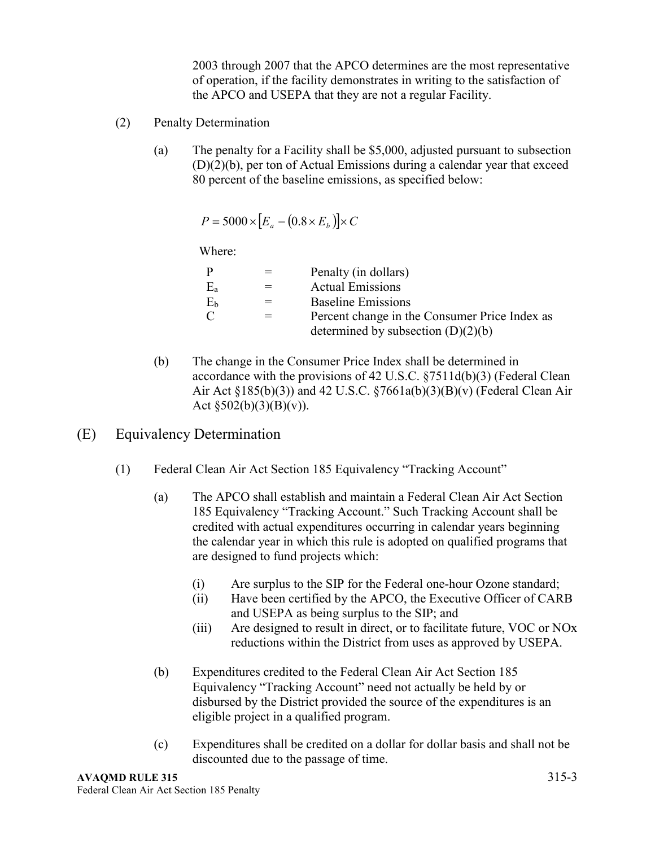2003 through 2007 that the APCO determines are the most representative of operation, if the facility demonstrates in writing to the satisfaction of the APCO and USEPA that they are not a regular Facility.

- (2) Penalty Determination
	- (a) The penalty for a Facility shall be \$5,000, adjusted pursuant to subsection (D)(2)(b), per ton of Actual Emissions during a calendar year that exceed 80 percent of the baseline emissions, as specified below:

 $P = 5000 \times [E_a - (0.8 \times E_b)] \times C$ 

Where:

| P         |   | Penalty (in dollars)                                                                  |
|-----------|---|---------------------------------------------------------------------------------------|
| $\rm E_a$ |   | <b>Actual Emissions</b>                                                               |
| Eь        | = | <b>Baseline Emissions</b>                                                             |
| C         |   | Percent change in the Consumer Price Index as<br>determined by subsection $(D)(2)(b)$ |

- (b) The change in the Consumer Price Index shall be determined in accordance with the provisions of 42 U.S.C. §7511d(b)(3) (Federal Clean Air Act §185(b)(3)) and 42 U.S.C. §7661a(b)(3)(B)(v) (Federal Clean Air Act  $\S 502(b)(3)(B)(v)$ ).
- (E) Equivalency Determination
	- (1) Federal Clean Air Act Section 185 Equivalency "Tracking Account"
		- (a) The APCO shall establish and maintain a Federal Clean Air Act Section 185 Equivalency "Tracking Account." Such Tracking Account shall be credited with actual expenditures occurring in calendar years beginning the calendar year in which this rule is adopted on qualified programs that are designed to fund projects which:
			- (i) Are surplus to the SIP for the Federal one-hour Ozone standard;
			- (ii) Have been certified by the APCO, the Executive Officer of CARB and USEPA as being surplus to the SIP; and
			- (iii) Are designed to result in direct, or to facilitate future, VOC or NOx reductions within the District from uses as approved by USEPA.
		- (b) Expenditures credited to the Federal Clean Air Act Section 185 Equivalency "Tracking Account" need not actually be held by or disbursed by the District provided the source of the expenditures is an eligible project in a qualified program.
		- (c) Expenditures shall be credited on a dollar for dollar basis and shall not be discounted due to the passage of time.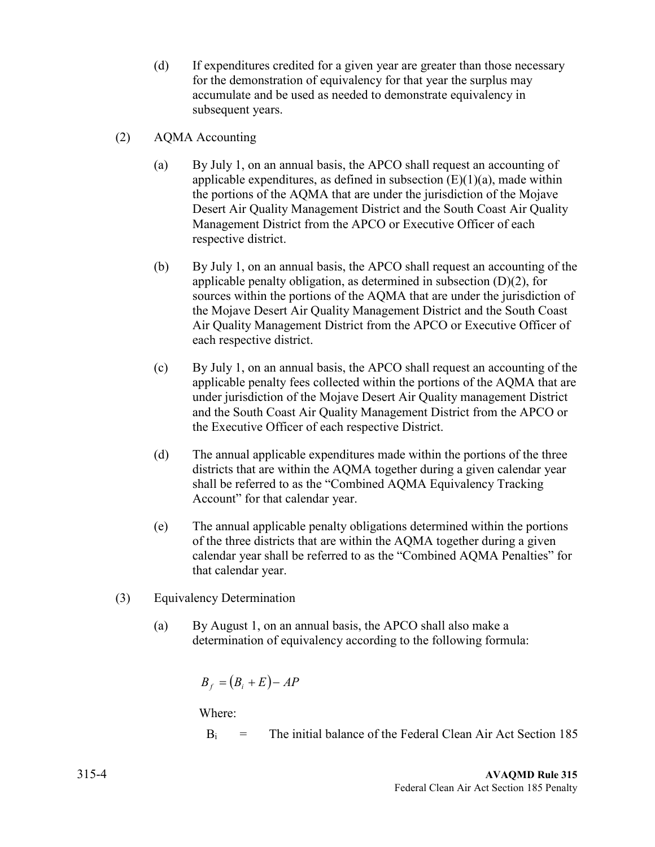- (d) If expenditures credited for a given year are greater than those necessary for the demonstration of equivalency for that year the surplus may accumulate and be used as needed to demonstrate equivalency in subsequent years.
- (2) AQMA Accounting
	- (a) By July 1, on an annual basis, the APCO shall request an accounting of applicable expenditures, as defined in subsection  $(E)(1)(a)$ , made within the portions of the AQMA that are under the jurisdiction of the Mojave Desert Air Quality Management District and the South Coast Air Quality Management District from the APCO or Executive Officer of each respective district.
	- (b) By July 1, on an annual basis, the APCO shall request an accounting of the applicable penalty obligation, as determined in subsection  $(D)(2)$ , for sources within the portions of the AQMA that are under the jurisdiction of the Mojave Desert Air Quality Management District and the South Coast Air Quality Management District from the APCO or Executive Officer of each respective district.
	- (c) By July 1, on an annual basis, the APCO shall request an accounting of the applicable penalty fees collected within the portions of the AQMA that are under jurisdiction of the Mojave Desert Air Quality management District and the South Coast Air Quality Management District from the APCO or the Executive Officer of each respective District.
	- (d) The annual applicable expenditures made within the portions of the three districts that are within the AQMA together during a given calendar year shall be referred to as the "Combined AQMA Equivalency Tracking Account" for that calendar year.
	- (e) The annual applicable penalty obligations determined within the portions of the three districts that are within the AQMA together during a given calendar year shall be referred to as the "Combined AQMA Penalties" for that calendar year.
- (3) Equivalency Determination
	- (a) By August 1, on an annual basis, the APCO shall also make a determination of equivalency according to the following formula:

$$
B_f = (B_i + E) - AP
$$

Where:

 $B_i$  = The initial balance of the Federal Clean Air Act Section 185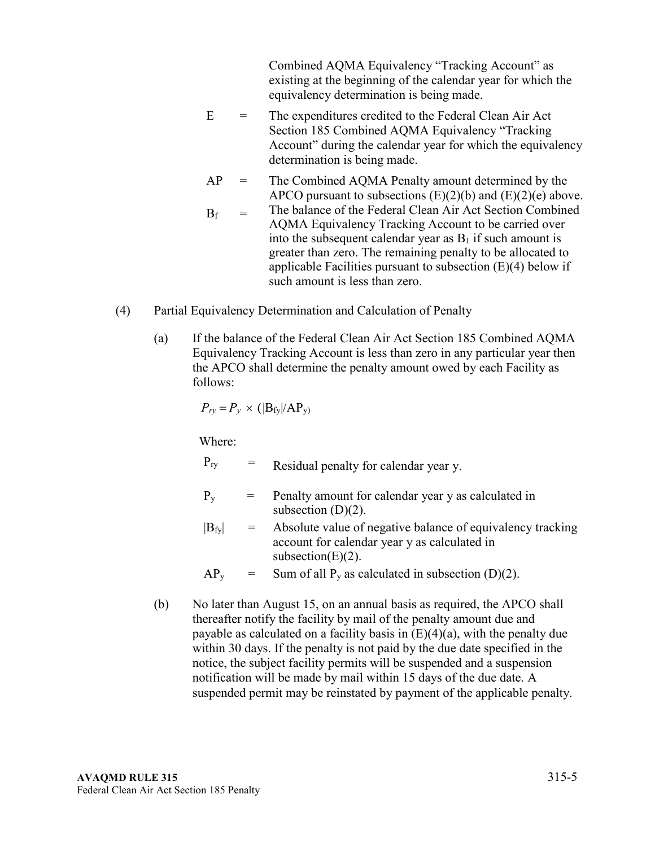Combined AQMA Equivalency "Tracking Account" as existing at the beginning of the calendar year for which the equivalency determination is being made.

- $E =$  The expenditures credited to the Federal Clean Air Act Section 185 Combined AQMA Equivalency "Tracking Account" during the calendar year for which the equivalency determination is being made.
- $AP =$  The Combined AQMA Penalty amount determined by the APCO pursuant to subsections  $(E)(2)(b)$  and  $(E)(2)(e)$  above.
- $B_f$  = The balance of the Federal Clean Air Act Section Combined AQMA Equivalency Tracking Account to be carried over into the subsequent calendar year as  $B_1$  if such amount is greater than zero. The remaining penalty to be allocated to applicable Facilities pursuant to subsection  $(E)(4)$  below if such amount is less than zero.
- (4) Partial Equivalency Determination and Calculation of Penalty
	- (a) If the balance of the Federal Clean Air Act Section 185 Combined AQMA Equivalency Tracking Account is less than zero in any particular year then the APCO shall determine the penalty amount owed by each Facility as follows:

$$
P_{ry} = P_y \times (|B_{fy}|/AP_y)
$$

Where:

 $P_{ry}$  = Residual penalty for calendar year y.

- $P_v$  = Penalty amount for calendar year y as calculated in subsection  $(D)(2)$ .
- $|B_{fy}|$  = Absolute value of negative balance of equivalency tracking account for calendar year y as calculated in subsection $(E)(2)$ .

 $AP_y$  = Sum of all  $P_y$  as calculated in subsection (D)(2).

(b) No later than August 15, on an annual basis as required, the APCO shall thereafter notify the facility by mail of the penalty amount due and payable as calculated on a facility basis in  $(E)(4)(a)$ , with the penalty due within 30 days. If the penalty is not paid by the due date specified in the notice, the subject facility permits will be suspended and a suspension notification will be made by mail within 15 days of the due date. A suspended permit may be reinstated by payment of the applicable penalty.